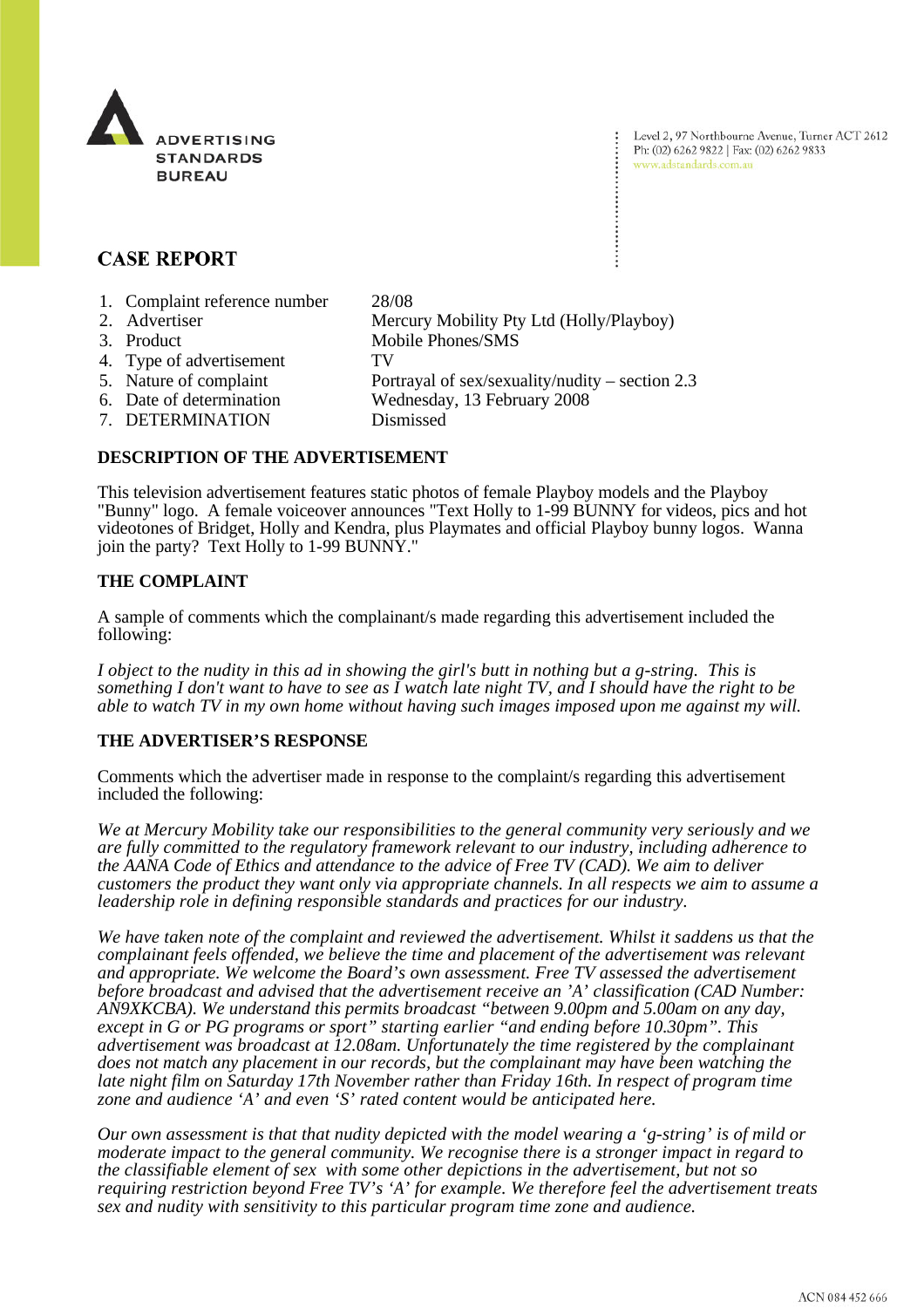

Level 2, 97 Northbourne Avenue, Turner ACT 2612 Ph: (02) 6262 9822 | Fax: (02) 6262 9833 www.adstandards.com.au

# **CASE REPORT**

- 1. Complaint reference number 28/08
- 2. Advertiser Mercury Mobility Pty Ltd (Holly/Playboy) 3. Product Mobile Phones/SMS 4. Type of advertisement TV 5. Nature of complaint Portrayal of sex/sexuality/nudity – section 2.3 6. Date of determination Wednesday, 13 February 2008 7. DETERMINATION Dismissed

## **DESCRIPTION OF THE ADVERTISEMENT**

This television advertisement features static photos of female Playboy models and the Playboy "Bunny" logo. A female voiceover announces "Text Holly to 1-99 BUNNY for videos, pics and hot videotones of Bridget, Holly and Kendra, plus Playmates and official Playboy bunny logos. Wanna join the party? Text Holly to 1-99 BUNNY."

## **THE COMPLAINT**

A sample of comments which the complainant/s made regarding this advertisement included the following:

*I object to the nudity in this ad in showing the girl's butt in nothing but a g-string. This is something I don't want to have to see as I watch late night TV, and I should have the right to be able to watch TV in my own home without having such images imposed upon me against my will.*

#### **THE ADVERTISER'S RESPONSE**

Comments which the advertiser made in response to the complaint/s regarding this advertisement included the following:

*We at Mercury Mobility take our responsibilities to the general community very seriously and we are fully committed to the regulatory framework relevant to our industry, including adherence to the AANA Code of Ethics and attendance to the advice of Free TV (CAD). We aim to deliver customers the product they want only via appropriate channels. In all respects we aim to assume a leadership role in defining responsible standards and practices for our industry.*

*We have taken note of the complaint and reviewed the advertisement. Whilst it saddens us that the complainant feels offended, we believe the time and placement of the advertisement was relevant and appropriate. We welcome the Board's own assessment. Free TV assessed the advertisement before broadcast and advised that the advertisement receive an 'A' classification (CAD Number: AN9XKCBA). We understand this permits broadcast "between 9.00pm and 5.00am on any day, except in G or PG programs or sport" starting earlier "and ending before 10.30pm". This advertisement was broadcast at 12.08am. Unfortunately the time registered by the complainant does not match any placement in our records, but the complainant may have been watching the late night film on Saturday 17th November rather than Friday 16th. In respect of program time zone and audience 'A' and even 'S' rated content would be anticipated here.*

*Our own assessment is that that nudity depicted with the model wearing a 'g-string' is of mild or moderate impact to the general community. We recognise there is a stronger impact in regard to the classifiable element of sex with some other depictions in the advertisement, but not so requiring restriction beyond Free TV's 'A' for example. We therefore feel the advertisement treats sex and nudity with sensitivity to this particular program time zone and audience.*